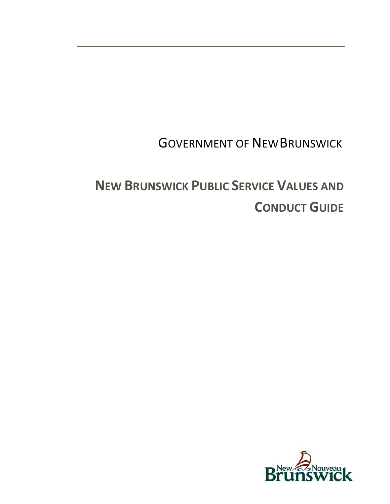## **GOVERNMENT OF NEW BRUNSWICK**

# **NEW BRUNSWICK PUBLIC SERVICE VALUES AND CONDUCT GUIDE**

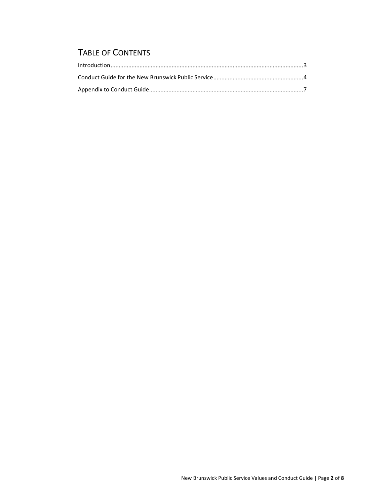## TABLE OF CONTENTS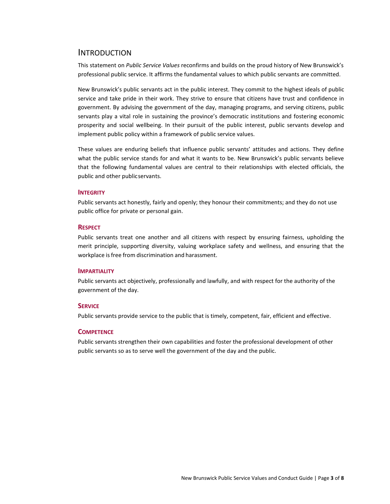#### <span id="page-2-0"></span>INTRODUCTION

This statement on *Public Service Values* reconfirms and builds on the proud history of New Brunswick's professional public service. It affirms the fundamental values to which public servants are committed.

New Brunswick's public servants act in the public interest. They commit to the highest ideals of public service and take pride in their work. They strive to ensure that citizens have trust and confidence in government. By advising the government of the day, managing programs, and serving citizens, public servants play a vital role in sustaining the province's democratic institutions and fostering economic prosperity and social wellbeing. In their pursuit of the public interest, public servants develop and implement public policy within a framework of public service values.

These values are enduring beliefs that influence public servants' attitudes and actions. They define what the public service stands for and what it wants to be. New Brunswick's public servants believe that the following fundamental values are central to their relationships with elected officials, the public and other publicservants.

#### **INTEGRITY**

Public servants act honestly, fairly and openly; they honour their commitments; and they do not use public office for private or personal gain.

#### **RESPECT**

Public servants treat one another and all citizens with respect by ensuring fairness, upholding the merit principle, supporting diversity, valuing workplace safety and wellness, and ensuring that the workplace is free from discrimination and harassment.

#### **IMPARTIALITY**

Public servants act objectively, professionally and lawfully, and with respect for the authority of the government of the day.

#### **SERVICE**

Public servants provide service to the public that is timely, competent, fair, efficient and effective.

#### **COMPETENCE**

Public servants strengthen their own capabilities and foster the professional development of other public servants so as to serve well the government of the day and the public.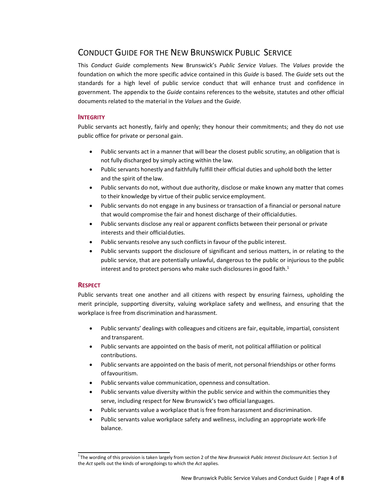## <span id="page-3-0"></span>CONDUCT GUIDE FOR THE NEW BRUNSWICK PUBLIC SERVICE

This *Conduct Guide* complements New Brunswick's *Public Service Values*. The *Values* provide the foundation on which the more specific advice contained in this *Guide* is based. The *Guide* sets out the standards for a high level of public service conduct that will enhance trust and confidence in government. The appendix to the *Guide* contains references to the website, statutes and other official documents related to the material in the *Values* and the *Guide*.

#### **INTEGRITY**

Public servants act honestly, fairly and openly; they honour their commitments; and they do not use public office for private or personal gain.

- Public servants act in a manner that will bear the closest public scrutiny, an obligation that is not fully discharged by simply acting within the law.
- Public servants honestly and faithfully fulfill their official duties and uphold both the letter and the spirit of thelaw.
- Public servants do not, without due authority, disclose or make known any matter that comes to their knowledge by virtue of their public service employment.
- Public servants do not engage in any business or transaction of a financial or personal nature that would compromise the fair and honest discharge of their officialduties.
- Public servants disclose any real or apparent conflicts between their personal or private interests and their officialduties.
- Public servants resolve any such conflicts in favour of the public interest.
- Public servants support the disclosure of significant and serious matters, in or relating to the public service, that are potentially unlawful, dangerous to the public or injurious to the public interest and to protect persons who make such disclosures in good faith. $1$

#### **RESPECT**

Public servants treat one another and all citizens with respect by ensuring fairness, upholding the merit principle, supporting diversity, valuing workplace safety and wellness, and ensuring that the workplace is free from discrimination and harassment.

- Public servants' dealings with colleagues and citizens are fair, equitable, impartial, consistent and transparent.
- Public servants are appointed on the basis of merit, not political affiliation or political contributions.
- Public servants are appointed on the basis of merit, not personal friendships or other forms of favouritism.
- Public servants value communication, openness and consultation.
- Public servants value diversity within the public service and within the communities they serve, including respect for New Brunswick's two official languages.
- Public servants value a workplace that is free from harassment and discrimination.
- Public servants value workplace safety and wellness, including an appropriate work‐life balance.

<sup>1</sup> The wording of this provision is taken largely from section 2 of the *New Brunswick Public Interest Disclosure Act*. Section 3 of the *Act* spells out the kinds of wrongdoings to which the *Act* applies.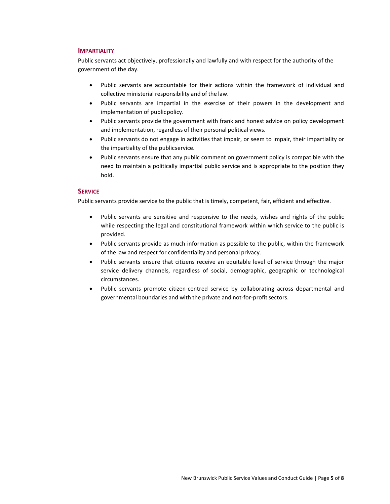#### **IMPARTIALITY**

Public servants act objectively, professionally and lawfully and with respect for the authority of the government of the day.

- Public servants are accountable for their actions within the framework of individual and collective ministerial responsibility and of the law.
- Public servants are impartial in the exercise of their powers in the development and implementation of publicpolicy.
- Public servants provide the government with frank and honest advice on policy development and implementation, regardless of their personal political views.
- Public servants do not engage in activities that impair, or seem to impair, their impartiality or the impartiality of the publicservice.
- Public servants ensure that any public comment on government policy is compatible with the need to maintain a politically impartial public service and is appropriate to the position they hold.

#### **SERVICE**

Public servants provide service to the public that is timely, competent, fair, efficient and effective.

- Public servants are sensitive and responsive to the needs, wishes and rights of the public while respecting the legal and constitutional framework within which service to the public is provided.
- Public servants provide as much information as possible to the public, within the framework of the law and respect for confidentiality and personal privacy.
- Public servants ensure that citizens receive an equitable level of service through the major service delivery channels, regardless of social, demographic, geographic or technological circumstances.
- Public servants promote citizen‐centred service by collaborating across departmental and governmental boundaries and with the private and not-for-profit sectors.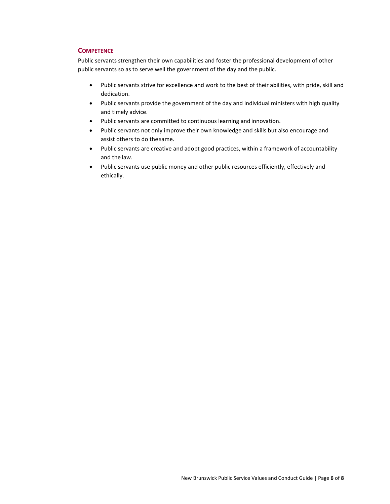#### **COMPETENCE**

Public servants strengthen their own capabilities and foster the professional development of other public servants so as to serve well the government of the day and the public.

- Public servants strive for excellence and work to the best of their abilities, with pride, skill and dedication.
- Public servants provide the government of the day and individual ministers with high quality and timely advice.
- Public servants are committed to continuous learning and innovation.
- Public servants not only improve their own knowledge and skills but also encourage and assist others to do thesame.
- Public servants are creative and adopt good practices, within a framework of accountability and the law.
- Public servants use public money and other public resources efficiently, effectively and ethically.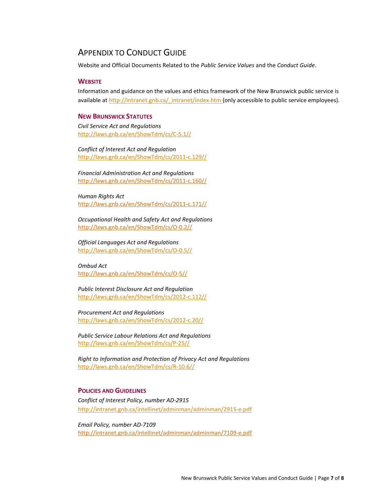### <span id="page-6-0"></span>APPENDIX TO CONDUCT GUIDE

Website and Official Documents Related to the *Public Service Values* and the *Conduct Guide*.

#### **WEBSITE**

Information and guidance on the values and ethics framework of the New Brunswick public service is available at [http://intranet.gnb.ca/\\_intranet/index.htm \(](http://intranet.gnb.ca/_intranet/index.htm)only accessible to public service employees).

#### **NEW BRUNSWICK STATUTES**

*Civil Service Act and Regulations* [http://laws.gnb.ca/en/ShowTdm/cs/C‐5.1//](http://laws.gnb.ca/en/ShowTdm/cs/C-5.1/)

*Conflict of Interest Act and Regulation* [http://laws.gnb.ca/en/ShowTdm/cs/2011‐c.129//](http://laws.gnb.ca/en/ShowTdm/cs/2011-c.129/)

*Financial Administration Act and Regulations* [http://laws.gnb.ca/en/ShowTdm/cs/2011‐c.160//](http://laws.gnb.ca/en/ShowTdm/cs/2011-c.160/)

*Human Rights Act* [http://laws.gnb.ca/en/ShowTdm/cs/2011‐c.171//](http://laws.gnb.ca/en/ShowTdm/cs/2011-c.171/)

*Occupational Health and Safety Act and Regulations* [http://laws.gnb.ca/en/ShowTdm/cs/O‐0.2//](http://laws.gnb.ca/en/ShowTdm/cs/O-0.2/)

*Official Languages Act and Regulations* [http://laws.gnb.ca/en/ShowTdm/cs/O-0.5//](http://laws.gnb.ca/en/ShowTdm/cs/O-0.5/)

*Ombud Act* [http://laws.gnb.ca/en/ShowTdm/cs/O‐5//](http://laws.gnb.ca/en/ShowTdm/cs/O-5/)

*Public Interest Disclosure Act and Regulation* [http://laws.gnb.ca/en/ShowTdm/cs/2012‐c](http://laws.gnb.ca/en/ShowTdm/cs/2012-c.112/).112//

*Procurement Act and Regulations* [http://laws.gnb.ca/en/ShowTdm/cs/2012‐c](http://laws.gnb.ca/en/ShowTdm/cs/2012-c.20/).20//

*Public Service Labour Relations Act and Regulations* [http://laws.gnb.ca/en/ShowTdm/cs/P‐25](http://laws.gnb.ca/en/ShowTdm/cs/P-25/)//

*Right to Information and Protection of Privacy Act and Regulations* [http://laws.gnb.ca/en/ShowTdm/cs/R‐1](http://laws.gnb.ca/en/ShowTdm/cs/R-10.6/)0.6//

#### **POLICIES AND GUIDELINES**

*Conflict of Interest Policy, number AD‐2915* [http://intranet.gnb.ca/intellinet/adminman/adminman/2915‐e.pdf](http://intranet.gnb.ca/intellinet/adminman/adminman/2915-e.pdf)

*Email Policy, number AD‐7109* [http://intranet.gnb.ca/intellinet/adminman/adminman/7109‐e.pdf](http://intranet.gnb.ca/intellinet/adminman/adminman/7109-e.pdf)